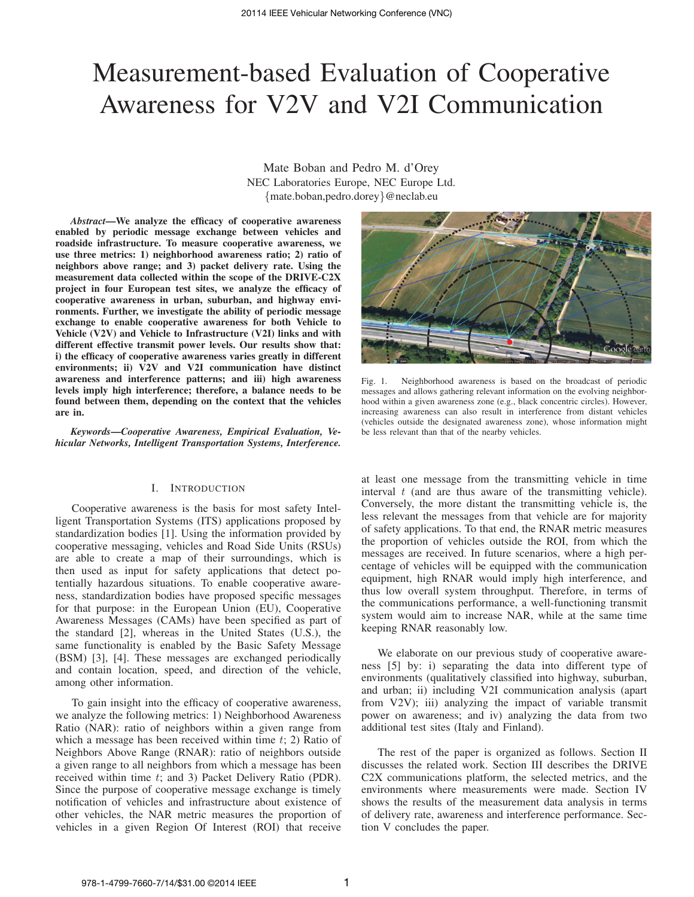# Measurement-based Evaluation of Cooperative Awareness for V2V and V2I Communication

Mate Boban and Pedro M. d'Orey NEC Laboratories Europe, NEC Europe Ltd. {mate.boban,pedro.dorey}@neclab.eu

*Abstract*—We analyze the efficacy of cooperative awareness enabled by periodic message exchange between vehicles and roadside infrastructure. To measure cooperative awareness, we use three metrics: 1) neighborhood awareness ratio; 2) ratio of neighbors above range; and 3) packet delivery rate. Using the measurement data collected within the scope of the DRIVE-C2X project in four European test sites, we analyze the efficacy of cooperative awareness in urban, suburban, and highway environments. Further, we investigate the ability of periodic message exchange to enable cooperative awareness for both Vehicle to Vehicle (V2V) and Vehicle to Infrastructure (V2I) links and with different effective transmit power levels. Our results show that: i) the efficacy of cooperative awareness varies greatly in different environments; ii) V2V and V2I communication have distinct awareness and interference patterns; and iii) high awareness levels imply high interference; therefore, a balance needs to be found between them, depending on the context that the vehicles are in.

*Keywords*—*Cooperative Awareness, Empirical Evaluation, Vehicular Networks, Intelligent Transportation Systems, Interference.*

## I. INTRODUCTION

Cooperative awareness is the basis for most safety Intelligent Transportation Systems (ITS) applications proposed by standardization bodies [1]. Using the information provided by cooperative messaging, vehicles and Road Side Units (RSUs) are able to create a map of their surroundings, which is then used as input for safety applications that detect potentially hazardous situations. To enable cooperative awareness, standardization bodies have proposed specific messages for that purpose: in the European Union (EU), Cooperative Awareness Messages (CAMs) have been specified as part of the standard [2], whereas in the United States (U.S.), the same functionality is enabled by the Basic Safety Message (BSM) [3], [4]. These messages are exchanged periodically and contain location, speed, and direction of the vehicle, among other information.

To gain insight into the efficacy of cooperative awareness, we analyze the following metrics: 1) Neighborhood Awareness Ratio (NAR): ratio of neighbors within a given range from which a message has been received within time  $t$ ; 2) Ratio of Neighbors Above Range (RNAR): ratio of neighbors outside a given range to all neighbors from which a message has been received within time t; and 3) Packet Delivery Ratio (PDR). Since the purpose of cooperative message exchange is timely notification of vehicles and infrastructure about existence of other vehicles, the NAR metric measures the proportion of vehicles in a given Region Of Interest (ROI) that receive



Fig. 1. Neighborhood awareness is based on the broadcast of periodic messages and allows gathering relevant information on the evolving neighborhood within a given awareness zone (e.g., black concentric circles). However, increasing awareness can also result in interference from distant vehicles (vehicles outside the designated awareness zone), whose information might be less relevant than that of the nearby vehicles.

at least one message from the transmitting vehicle in time interval  $t$  (and are thus aware of the transmitting vehicle). Conversely, the more distant the transmitting vehicle is, the less relevant the messages from that vehicle are for majority of safety applications. To that end, the RNAR metric measures the proportion of vehicles outside the ROI, from which the messages are received. In future scenarios, where a high percentage of vehicles will be equipped with the communication equipment, high RNAR would imply high interference, and thus low overall system throughput. Therefore, in terms of the communications performance, a well-functioning transmit system would aim to increase NAR, while at the same time keeping RNAR reasonably low.

We elaborate on our previous study of cooperative awareness [5] by: i) separating the data into different type of environments (qualitatively classified into highway, suburban, and urban; ii) including V2I communication analysis (apart from V2V); iii) analyzing the impact of variable transmit power on awareness; and iv) analyzing the data from two additional test sites (Italy and Finland).

The rest of the paper is organized as follows. Section II discusses the related work. Section III describes the DRIVE C2X communications platform, the selected metrics, and the environments where measurements were made. Section IV shows the results of the measurement data analysis in terms of delivery rate, awareness and interference performance. Section V concludes the paper.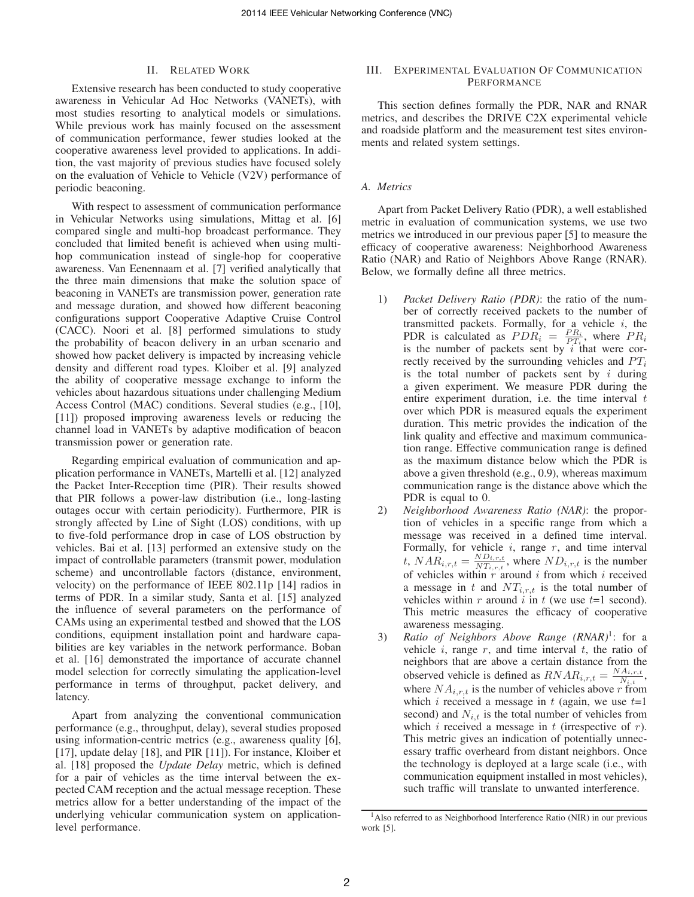## II. RELATED WORK

Extensive research has been conducted to study cooperative awareness in Vehicular Ad Hoc Networks (VANETs), with most studies resorting to analytical models or simulations. While previous work has mainly focused on the assessment of communication performance, fewer studies looked at the cooperative awareness level provided to applications. In addition, the vast majority of previous studies have focused solely on the evaluation of Vehicle to Vehicle (V2V) performance of periodic beaconing.

With respect to assessment of communication performance in Vehicular Networks using simulations, Mittag et al. [6] compared single and multi-hop broadcast performance. They concluded that limited benefit is achieved when using multihop communication instead of single-hop for cooperative awareness. Van Eenennaam et al. [7] verified analytically that the three main dimensions that make the solution space of beaconing in VANETs are transmission power, generation rate and message duration, and showed how different beaconing configurations support Cooperative Adaptive Cruise Control (CACC). Noori et al. [8] performed simulations to study the probability of beacon delivery in an urban scenario and showed how packet delivery is impacted by increasing vehicle density and different road types. Kloiber et al. [9] analyzed the ability of cooperative message exchange to inform the vehicles about hazardous situations under challenging Medium Access Control (MAC) conditions. Several studies (e.g., [10], [11]) proposed improving awareness levels or reducing the channel load in VANETs by adaptive modification of beacon transmission power or generation rate.

Regarding empirical evaluation of communication and application performance in VANETs, Martelli et al. [12] analyzed the Packet Inter-Reception time (PIR). Their results showed that PIR follows a power-law distribution (i.e., long-lasting outages occur with certain periodicity). Furthermore, PIR is strongly affected by Line of Sight (LOS) conditions, with up to five-fold performance drop in case of LOS obstruction by vehicles. Bai et al. [13] performed an extensive study on the impact of controllable parameters (transmit power, modulation scheme) and uncontrollable factors (distance, environment, velocity) on the performance of IEEE 802.11p [14] radios in terms of PDR. In a similar study, Santa et al. [15] analyzed the influence of several parameters on the performance of CAMs using an experimental testbed and showed that the LOS conditions, equipment installation point and hardware capabilities are key variables in the network performance. Boban et al. [16] demonstrated the importance of accurate channel model selection for correctly simulating the application-level performance in terms of throughput, packet delivery, and latency.

Apart from analyzing the conventional communication performance (e.g., throughput, delay), several studies proposed using information-centric metrics (e.g., awareness quality [6], [17], update delay [18], and PIR [11]). For instance, Kloiber et al. [18] proposed the *Update Delay* metric, which is defined for a pair of vehicles as the time interval between the expected CAM reception and the actual message reception. These metrics allow for a better understanding of the impact of the underlying vehicular communication system on applicationlevel performance.

## III. EXPERIMENTAL EVALUATION OF COMMUNICATION PERFORMANCE

This section defines formally the PDR, NAR and RNAR metrics, and describes the DRIVE C2X experimental vehicle and roadside platform and the measurement test sites environments and related system settings.

# *A. Metrics*

Apart from Packet Delivery Ratio (PDR), a well established metric in evaluation of communication systems, we use two metrics we introduced in our previous paper [5] to measure the efficacy of cooperative awareness: Neighborhood Awareness Ratio (NAR) and Ratio of Neighbors Above Range (RNAR). Below, we formally define all three metrics.

- 1) *Packet Delivery Ratio (PDR)*: the ratio of the number of correctly received packets to the number of transmitted packets. Formally, for a vehicle  $i$ , the PDR is calculated as  $PDR_i = \frac{PR_i}{PT_i}$ , where  $PR_i$ is the number of packets sent by  $i$  that were correctly received by the surrounding vehicles and  $PT_i$ is the total number of packets sent by  $i$  during a given experiment. We measure PDR during the entire experiment duration, i.e. the time interval  $t$ over which PDR is measured equals the experiment duration. This metric provides the indication of the link quality and effective and maximum communication range. Effective communication range is defined as the maximum distance below which the PDR is above a given threshold (e.g., 0.9), whereas maximum communication range is the distance above which the PDR is equal to 0.
- 2) *Neighborhood Awareness Ratio (NAR)*: the proportion of vehicles in a specific range from which a message was received in a defined time interval. Formally, for vehicle  $i$ , range  $r$ , and time interval  $t, NAR_{i,r,t} = \frac{ND_{i,r,t}}{NT_{i,r,t}}$  $\frac{ND_{i,r,t}}{NT_{i,r,t}}$ , where  $ND_{i,r,t}$  is the number of vehicles within r around i from which i received a message in t and  $NT_{i,r,t}$  is the total number of vehicles within r around i in t (we use  $t=1$  second). This metric measures the efficacy of cooperative awareness messaging.
- 3) Ratio of Neighbors Above Range (RNAR)<sup>1</sup>: for a vehicle  $i$ , range  $r$ , and time interval  $t$ , the ratio of neighbors that are above a certain distance from the observed vehicle is defined as  $RNAR_{i,r,t} = \frac{NA_{i,r,t}}{N_{i,t}}$  $\frac{A_{i,r,t}}{N_{i,t}},$ where  $NA_{i,r,t}$  is the number of vehicles above r from which i received a message in t (again, we use  $t=1$ second) and  $N_{i,t}$  is the total number of vehicles from which  $i$  received a message in  $t$  (irrespective of  $r$ ). This metric gives an indication of potentially unnecessary traffic overheard from distant neighbors. Once the technology is deployed at a large scale (i.e., with communication equipment installed in most vehicles), such traffic will translate to unwanted interference.

<sup>&</sup>lt;sup>1</sup>Also referred to as Neighborhood Interference Ratio (NIR) in our previous work [5].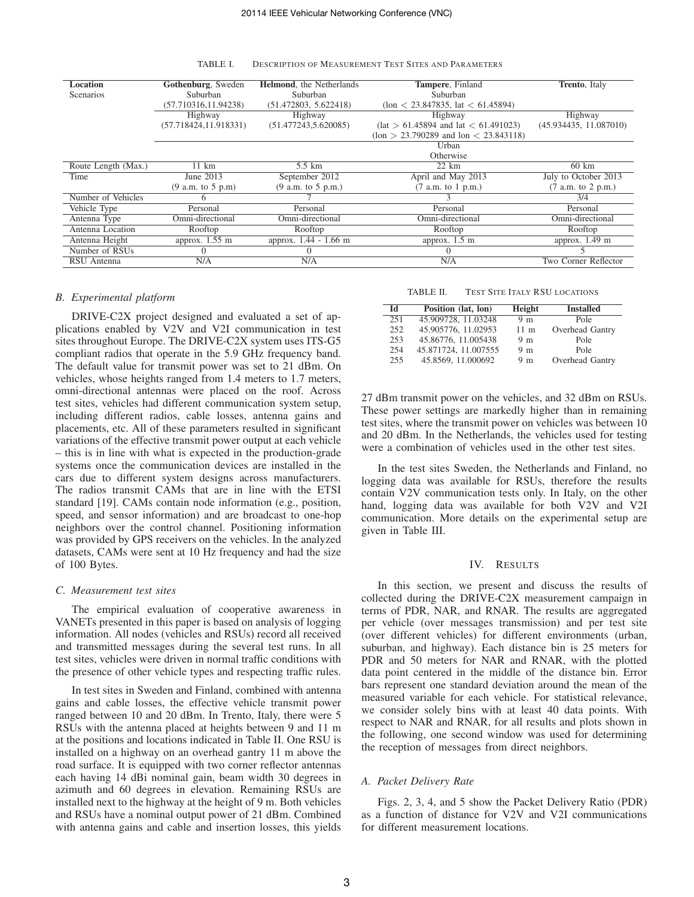| <b>Location</b>     | Gothenburg, Sweden            | <b>Helmond</b> , the Netherlands | Tampere, Finland                                      | <b>Trento</b> , Italy    |
|---------------------|-------------------------------|----------------------------------|-------------------------------------------------------|--------------------------|
| <b>Scenarios</b>    | Suburban                      | Suburban                         | Suburban                                              |                          |
|                     | (57.710316, 11.94238)         | (51.472803, 5.622418)            | (10n < 23.847835, 1at < 61.45894)                     |                          |
|                     | Highway<br>Highway<br>Highway |                                  |                                                       | Highway                  |
|                     | (57.718424, 11.918331)        | (51.477243, 5.620085)            | $\text{(lat} > 61.45894 \text{ and lat} < 61.491023)$ | (45.934435, 11.087010)   |
|                     |                               |                                  | $(10n > 23.790289$ and $10n < 23.843118)$             |                          |
|                     |                               |                                  | Urban                                                 |                          |
|                     |                               |                                  | Otherwise                                             |                          |
| Route Length (Max.) | $11 \text{ km}$               | 5.5 km                           | $22 \text{ km}$                                       | $60 \text{ km}$          |
| Time                | June 2013                     | September 2012                   | April and May 2013                                    | July to October 2013     |
|                     | (9 a.m. to 5 p.m)             | (9 a.m. to 5 p.m.)               | $(7$ a.m. to 1 p.m.)                                  | $(7$ a.m. to 2 p.m.)     |
| Number of Vehicles  | <sub>6</sub>                  |                                  |                                                       | 3/4                      |
| Vehicle Type        | Personal                      | Personal                         | Personal                                              | Personal                 |
| Antenna Type        | Omni-directional              | Omni-directional                 | Omni-directional<br>Omni-directional                  |                          |
| Antenna Location    | Rooftop                       | Rooftop                          | Rooftop<br>Rooftop                                    |                          |
| Antenna Height      | approx. $1.55 \text{ m}$      | approx. 1.44 - 1.66 m            | approx. $1.5 \text{ m}$                               | approx. $1.49 \text{ m}$ |
| Number of RSUs      | $\left( \right)$              | $\Omega$                         | $\left( \right)$                                      |                          |
| RSU Antenna         | N/A                           | N/A                              | N/A                                                   | Two Corner Reflector     |

TABLE I. DESCRIPTION OF MEASUREMENT TEST SITES AND PARAMETERS

#### *B. Experimental platform*

DRIVE-C2X project designed and evaluated a set of applications enabled by V2V and V2I communication in test sites throughout Europe. The DRIVE-C2X system uses ITS-G5 compliant radios that operate in the 5.9 GHz frequency band. The default value for transmit power was set to 21 dBm. On vehicles, whose heights ranged from 1.4 meters to 1.7 meters, omni-directional antennas were placed on the roof. Across test sites, vehicles had different communication system setup, including different radios, cable losses, antenna gains and placements, etc. All of these parameters resulted in significant variations of the effective transmit power output at each vehicle – this is in line with what is expected in the production-grade systems once the communication devices are installed in the cars due to different system designs across manufacturers. The radios transmit CAMs that are in line with the ETSI standard [19]. CAMs contain node information (e.g., position, speed, and sensor information) and are broadcast to one-hop neighbors over the control channel. Positioning information was provided by GPS receivers on the vehicles. In the analyzed datasets, CAMs were sent at 10 Hz frequency and had the size of 100 Bytes.

#### *C. Measurement test sites*

The empirical evaluation of cooperative awareness in VANETs presented in this paper is based on analysis of logging information. All nodes (vehicles and RSUs) record all received and transmitted messages during the several test runs. In all test sites, vehicles were driven in normal traffic conditions with the presence of other vehicle types and respecting traffic rules.

In test sites in Sweden and Finland, combined with antenna gains and cable losses, the effective vehicle transmit power ranged between 10 and 20 dBm. In Trento, Italy, there were 5 RSUs with the antenna placed at heights between 9 and 11 m at the positions and locations indicated in Table II. One RSU is installed on a highway on an overhead gantry 11 m above the road surface. It is equipped with two corner reflector antennas each having 14 dBi nominal gain, beam width 30 degrees in azimuth and 60 degrees in elevation. Remaining RSUs are installed next to the highway at the height of 9 m. Both vehicles and RSUs have a nominal output power of 21 dBm. Combined with antenna gains and cable and insertion losses, this yields

### TABLE II. TEST SITE ITALY RSU LOCATIONS

| ЫI  | Position (lat, lon)  | Height          | <b>Installed</b> |
|-----|----------------------|-----------------|------------------|
| 251 | 45.909728, 11.03248  | 9 <sub>m</sub>  | Pole             |
| 252 | 45.905776, 11.02953  | 11 <sub>m</sub> | Overhead Gantry  |
| 253 | 45.86776, 11.005438  | 9 <sub>m</sub>  | Pole             |
| 254 | 45.871724, 11.007555 | 9 <sub>m</sub>  | Pole             |
| 255 | 45.8569, 11.000692   | 9 <sub>m</sub>  | Overhead Gantry  |

27 dBm transmit power on the vehicles, and 32 dBm on RSUs. These power settings are markedly higher than in remaining test sites, where the transmit power on vehicles was between 10 and 20 dBm. In the Netherlands, the vehicles used for testing were a combination of vehicles used in the other test sites.

In the test sites Sweden, the Netherlands and Finland, no logging data was available for RSUs, therefore the results contain V2V communication tests only. In Italy, on the other hand, logging data was available for both V2V and V2I communication. More details on the experimental setup are given in Table III.

#### IV. RESULTS

In this section, we present and discuss the results of collected during the DRIVE-C2X measurement campaign in terms of PDR, NAR, and RNAR. The results are aggregated per vehicle (over messages transmission) and per test site (over different vehicles) for different environments (urban, suburban, and highway). Each distance bin is 25 meters for PDR and 50 meters for NAR and RNAR, with the plotted data point centered in the middle of the distance bin. Error bars represent one standard deviation around the mean of the measured variable for each vehicle. For statistical relevance, we consider solely bins with at least 40 data points. With respect to NAR and RNAR, for all results and plots shown in the following, one second window was used for determining the reception of messages from direct neighbors.

#### *A. Packet Delivery Rate*

Figs. 2, 3, 4, and 5 show the Packet Delivery Ratio (PDR) as a function of distance for V2V and V2I communications for different measurement locations.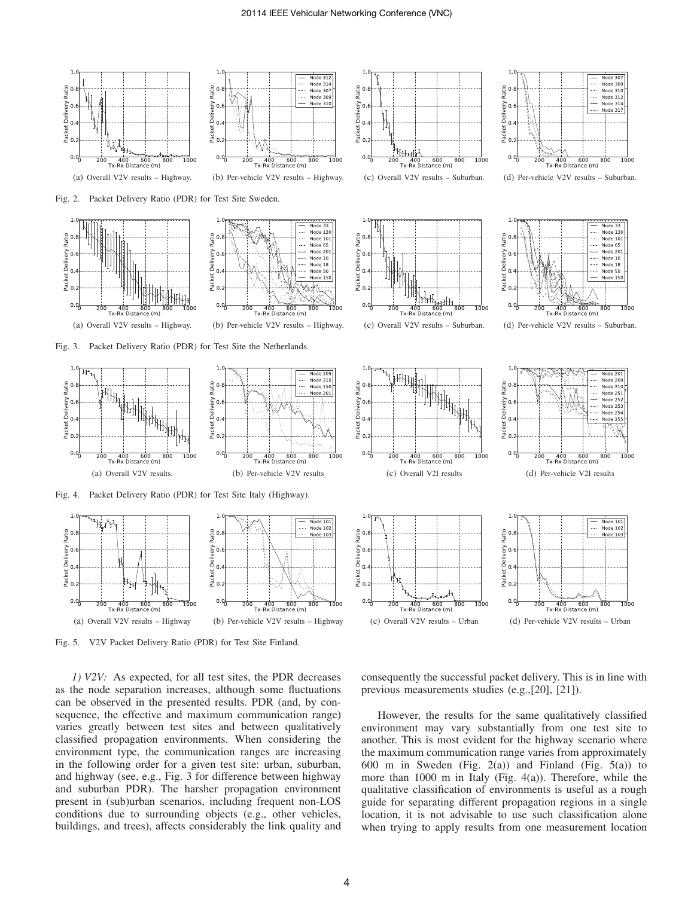

Fig. 5. V2V Packet Delivery Ratio (PDR) for Test Site Finland.

*1) V2V:* As expected, for all test sites, the PDR decreases as the node separation increases, although some fluctuations can be observed in the presented results. PDR (and, by consequence, the effective and maximum communication range) varies greatly between test sites and between qualitatively classified propagation environments. When considering the environment type, the communication ranges are increasing in the following order for a given test site: urban, suburban, and highway (see, e.g., Fig. 3 for difference between highway and suburban PDR). The harsher propagation environment present in (sub)urban scenarios, including frequent non-LOS conditions due to surrounding objects (e.g., other vehicles, buildings, and trees), affects considerably the link quality and

consequently the successful packet delivery. This is in line with previous measurements studies (e.g.,[20], [21]).

However, the results for the same qualitatively classified environment may vary substantially from one test site to another. This is most evident for the highway scenario where the maximum communication range varies from approximately 600 m in Sweden (Fig. 2(a)) and Finland (Fig. 5(a)) to more than 1000 m in Italy (Fig. 4(a)). Therefore, while the qualitative classification of environments is useful as a rough guide for separating different propagation regions in a single location, it is not advisable to use such classification alone when trying to apply results from one measurement location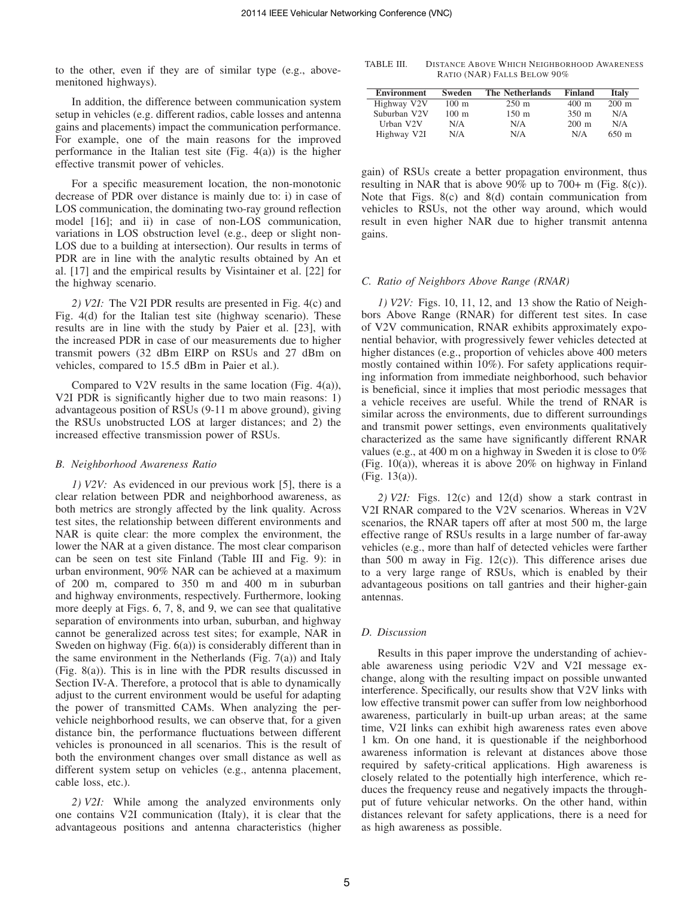to the other, even if they are of similar type (e.g., abovemenitoned highways).

In addition, the difference between communication system setup in vehicles (e.g. different radios, cable losses and antenna gains and placements) impact the communication performance. For example, one of the main reasons for the improved performance in the Italian test site (Fig. 4(a)) is the higher effective transmit power of vehicles.

For a specific measurement location, the non-monotonic decrease of PDR over distance is mainly due to: i) in case of LOS communication, the dominating two-ray ground reflection model [16]; and ii) in case of non-LOS communication, variations in LOS obstruction level (e.g., deep or slight non-LOS due to a building at intersection). Our results in terms of PDR are in line with the analytic results obtained by An et al. [17] and the empirical results by Visintainer et al. [22] for the highway scenario.

*2) V2I:* The V2I PDR results are presented in Fig. 4(c) and Fig. 4(d) for the Italian test site (highway scenario). These results are in line with the study by Paier et al. [23], with the increased PDR in case of our measurements due to higher transmit powers (32 dBm EIRP on RSUs and 27 dBm on vehicles, compared to 15.5 dBm in Paier et al.).

Compared to V2V results in the same location (Fig. 4(a)), V2I PDR is significantly higher due to two main reasons: 1) advantageous position of RSUs (9-11 m above ground), giving the RSUs unobstructed LOS at larger distances; and 2) the increased effective transmission power of RSUs.

#### *B. Neighborhood Awareness Ratio*

*1) V2V:* As evidenced in our previous work [5], there is a clear relation between PDR and neighborhood awareness, as both metrics are strongly affected by the link quality. Across test sites, the relationship between different environments and NAR is quite clear: the more complex the environment, the lower the NAR at a given distance. The most clear comparison can be seen on test site Finland (Table III and Fig. 9): in urban environment, 90% NAR can be achieved at a maximum of 200 m, compared to 350 m and 400 m in suburban and highway environments, respectively. Furthermore, looking more deeply at Figs. 6, 7, 8, and 9, we can see that qualitative separation of environments into urban, suburban, and highway cannot be generalized across test sites; for example, NAR in Sweden on highway (Fig. 6(a)) is considerably different than in the same environment in the Netherlands (Fig.  $7(a)$ ) and Italy (Fig. 8(a)). This is in line with the PDR results discussed in Section IV-A. Therefore, a protocol that is able to dynamically adjust to the current environment would be useful for adapting the power of transmitted CAMs. When analyzing the pervehicle neighborhood results, we can observe that, for a given distance bin, the performance fluctuations between different vehicles is pronounced in all scenarios. This is the result of both the environment changes over small distance as well as different system setup on vehicles (e.g., antenna placement, cable loss, etc.).

*2) V2I:* While among the analyzed environments only one contains V2I communication (Italy), it is clear that the advantageous positions and antenna characteristics (higher

TABLE III. DISTANCE ABOVE WHICH NEIGHBORHOOD AWARENESS RATIO (NAR) FALLS BELOW 90%

| Environment            | Sweden              | <b>The Netherlands</b> | Finland             | <b>Italy</b>        |
|------------------------|---------------------|------------------------|---------------------|---------------------|
| Highway V2V            | $100 \; \mathrm{m}$ | $250 \; \mathrm{m}$    | $400 \; \mathrm{m}$ | $200 \text{ m}$     |
| Suburban V2V           | $100 \text{ m}$     | $150 \; \mathrm{m}$    | $350 \; \mathrm{m}$ | N/A                 |
| Urban V <sub>2</sub> V | N/A                 | N/A                    | $200 \text{ m}$     | N/A                 |
| Highway V2I            | N/A                 | N/A                    | N/A                 | $650 \; \mathrm{m}$ |

gain) of RSUs create a better propagation environment, thus resulting in NAR that is above 90% up to 700+ m (Fig. 8(c)). Note that Figs. 8(c) and 8(d) contain communication from vehicles to RSUs, not the other way around, which would result in even higher NAR due to higher transmit antenna gains.

## *C. Ratio of Neighbors Above Range (RNAR)*

*1) V2V:* Figs. 10, 11, 12, and 13 show the Ratio of Neighbors Above Range (RNAR) for different test sites. In case of V2V communication, RNAR exhibits approximately exponential behavior, with progressively fewer vehicles detected at higher distances (e.g., proportion of vehicles above 400 meters) mostly contained within 10%). For safety applications requiring information from immediate neighborhood, such behavior is beneficial, since it implies that most periodic messages that a vehicle receives are useful. While the trend of RNAR is similar across the environments, due to different surroundings and transmit power settings, even environments qualitatively characterized as the same have significantly different RNAR values (e.g., at 400 m on a highway in Sweden it is close to 0% (Fig. 10(a)), whereas it is above 20% on highway in Finland (Fig. 13(a)).

*2) V2I:* Figs. 12(c) and 12(d) show a stark contrast in V2I RNAR compared to the V2V scenarios. Whereas in V2V scenarios, the RNAR tapers off after at most 500 m, the large effective range of RSUs results in a large number of far-away vehicles (e.g., more than half of detected vehicles were farther than 500 m away in Fig.  $12(c)$ ). This difference arises due to a very large range of RSUs, which is enabled by their advantageous positions on tall gantries and their higher-gain antennas.

#### *D. Discussion*

Results in this paper improve the understanding of achievable awareness using periodic V2V and V2I message exchange, along with the resulting impact on possible unwanted interference. Specifically, our results show that V2V links with low effective transmit power can suffer from low neighborhood awareness, particularly in built-up urban areas; at the same time, V2I links can exhibit high awareness rates even above 1 km. On one hand, it is questionable if the neighborhood awareness information is relevant at distances above those required by safety-critical applications. High awareness is closely related to the potentially high interference, which reduces the frequency reuse and negatively impacts the throughput of future vehicular networks. On the other hand, within distances relevant for safety applications, there is a need for as high awareness as possible.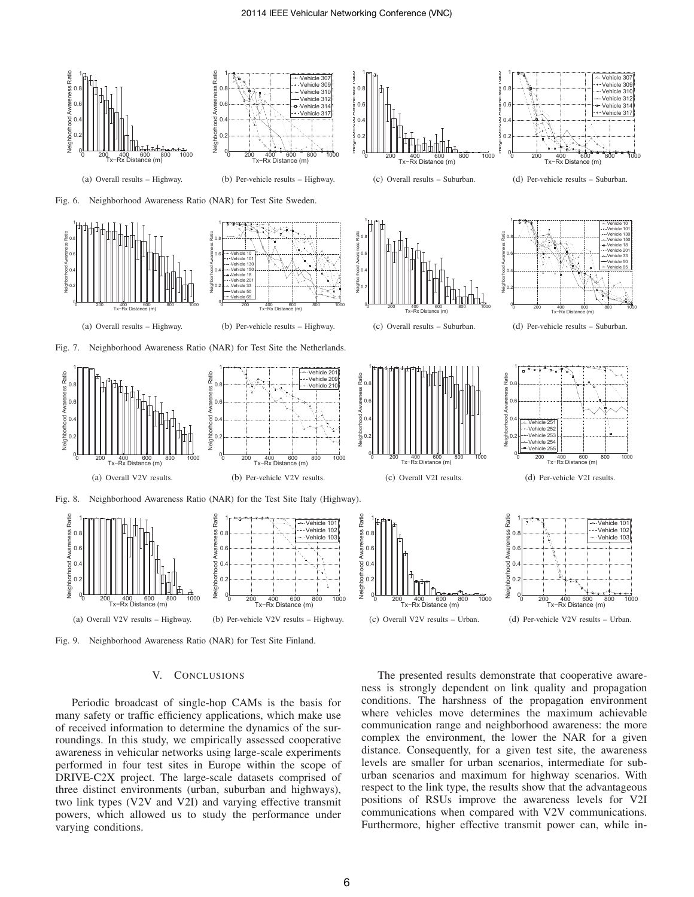

#### V. CONCLUSIONS

Periodic broadcast of single-hop CAMs is the basis for many safety or traffic efficiency applications, which make use of received information to determine the dynamics of the surroundings. In this study, we empirically assessed cooperative awareness in vehicular networks using large-scale experiments performed in four test sites in Europe within the scope of DRIVE-C2X project. The large-scale datasets comprised of three distinct environments (urban, suburban and highways), two link types (V2V and V2I) and varying effective transmit powers, which allowed us to study the performance under varying conditions.

The presented results demonstrate that cooperative awareness is strongly dependent on link quality and propagation conditions. The harshness of the propagation environment where vehicles move determines the maximum achievable communication range and neighborhood awareness: the more complex the environment, the lower the NAR for a given distance. Consequently, for a given test site, the awareness levels are smaller for urban scenarios, intermediate for suburban scenarios and maximum for highway scenarios. With respect to the link type, the results show that the advantageous positions of RSUs improve the awareness levels for V2I communications when compared with V2V communications. Furthermore, higher effective transmit power can, while in-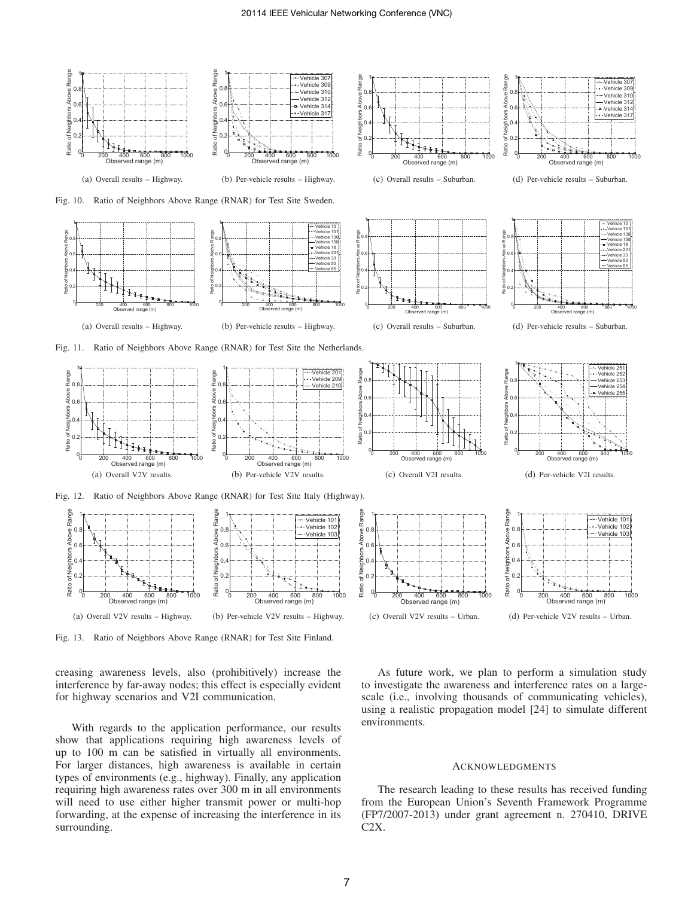

Fig. 13. Ratio of Neighbors Above Range (RNAR) for Test Site Finland.

creasing awareness levels, also (prohibitively) increase the interference by far-away nodes; this effect is especially evident for highway scenarios and V2I communication.

With regards to the application performance, our results show that applications requiring high awareness levels of up to 100 m can be satisfied in virtually all environments. For larger distances, high awareness is available in certain types of environments (e.g., highway). Finally, any application requiring high awareness rates over 300 m in all environments will need to use either higher transmit power or multi-hop forwarding, at the expense of increasing the interference in its surrounding.

As future work, we plan to perform a simulation study to investigate the awareness and interference rates on a largescale (i.e., involving thousands of communicating vehicles), using a realistic propagation model [24] to simulate different environments.

# ACKNOWLEDGMENTS

The research leading to these results has received funding from the European Union's Seventh Framework Programme (FP7/2007-2013) under grant agreement n. 270410, DRIVE C2X.